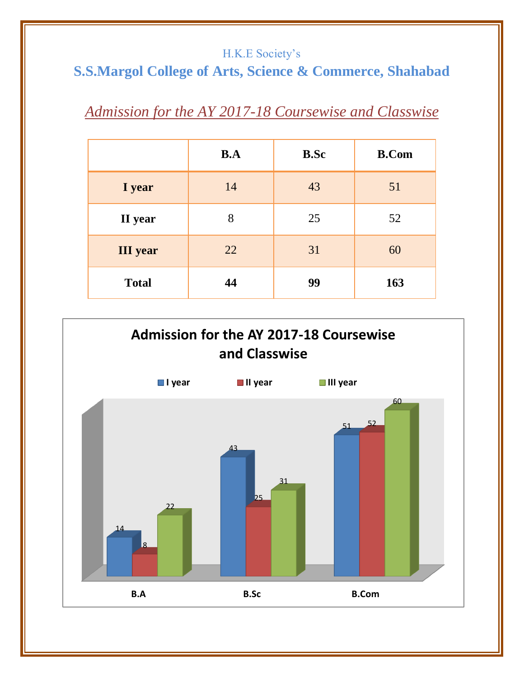#### H.K.E Society's

# **S.S.Margol College of Arts, Science & Commerce, Shahabad**

# *Admission for the AY 2017-18 Coursewise and Classwise*

|                 | <b>B.A</b> | <b>B.Sc</b> | <b>B.Com</b> |
|-----------------|------------|-------------|--------------|
| I year          | 14         | 43          | 51           |
| II year         | 8          | 25          | 52           |
| <b>III</b> year | 22         | 31          | 60           |
| <b>Total</b>    | 44         | 99          | 163          |

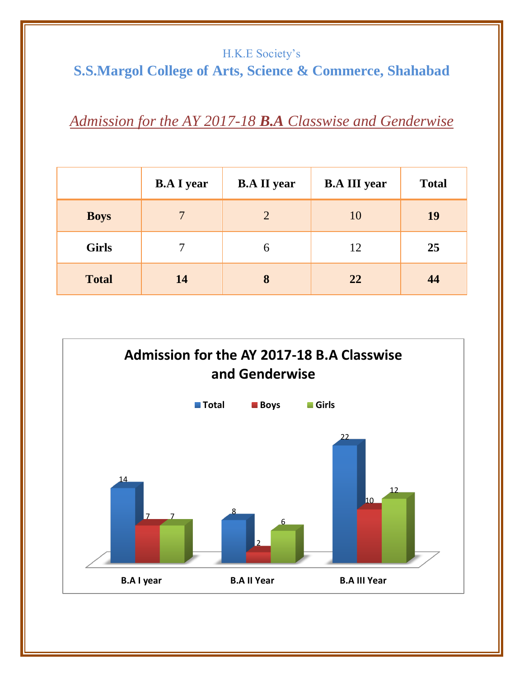#### H.K.E Society's **S.S.Margol College of Arts, Science & Commerce, Shahabad**

# *Admission for the AY 2017-18 B.A Classwise and Genderwise*

|              | <b>B.A I year</b> | <b>B.A II year</b> | <b>B.A III year</b> | <b>Total</b> |
|--------------|-------------------|--------------------|---------------------|--------------|
| <b>Boys</b>  | $\overline{7}$    | $\overline{2}$     | 10                  | 19           |
| <b>Girls</b> |                   | 6                  | 12                  | 25           |
| <b>Total</b> | 14                | 8                  | 22                  | 44           |

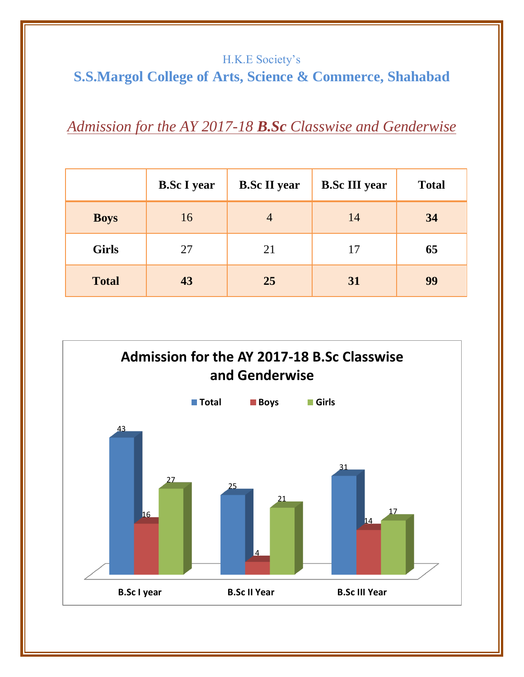## H.K.E Society's **S.S.Margol College of Arts, Science & Commerce, Shahabad**

*Admission for the AY 2017-18 B.Sc Classwise and Genderwise*

|              | <b>B.Sc I year</b> | <b>B.Sc II year</b> | <b>B.Sc III year</b> | <b>Total</b> |
|--------------|--------------------|---------------------|----------------------|--------------|
| <b>Boys</b>  | 16                 | $\overline{4}$      | 14                   | 34           |
| <b>Girls</b> | 27                 | 21                  | 17                   | 65           |
| <b>Total</b> | 43                 | 25                  | 31                   | 99           |